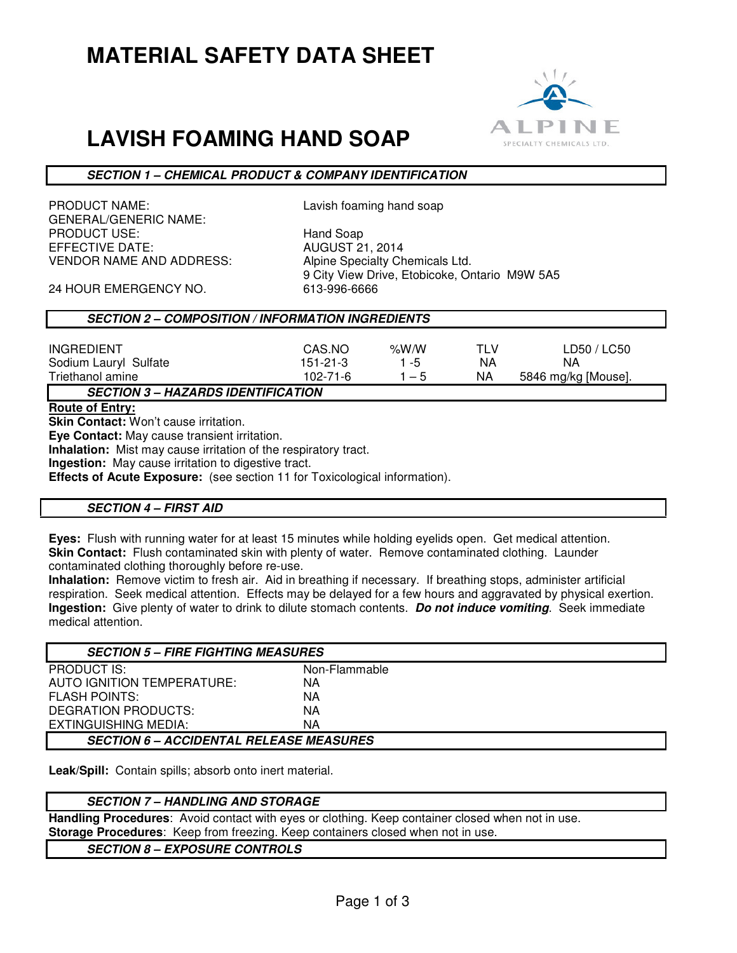# **MATERIAL SAFETY DATA SHEET**

# **LAVISH FOAMING HAND SOAP**



## **SECTION 1 – CHEMICAL PRODUCT & COMPANY IDENTIFICATION**

PRODUCT NAME: Lavish foaming hand soap GENERAL/GENERIC NAME: PRODUCT USE: Hand Soap EFFECTIVE DATE: AUGUST 21, 2014 VENDOR NAME AND ADDRESS: Alpine Specialty Chemicals Ltd.

9 City View Drive, Etobicoke, Ontario M9W 5A5

24 HOUR EMERGENCY NO. 613-996-6666

# **SECTION 2 – COMPOSITION / INFORMATION INGREDIENTS**

| <b>INGREDIENT</b>                            | CAS.NO   | % $W/N$ | TI V | LD50 / LC50         |
|----------------------------------------------|----------|---------|------|---------------------|
|                                              |          |         |      |                     |
| Sodium Lauryl Sulfate                        | 151-21-3 | ່ - ກ   | ΝA   | ΝA                  |
| Triethanol amine                             | 102-71-6 | — 5     | ΝA   | 5846 mg/kg [Mouse]. |
| <b>UAZADDO IDENTIEIO ATIONI</b><br>CECTION 2 |          |         |      |                     |

**SECTION 3 – HAZARDS IDENTIFICATION** 

**Route of Entry:** 

**Skin Contact:** Won't cause irritation.

**Eye Contact:** May cause transient irritation.

**Inhalation:** Mist may cause irritation of the respiratory tract.

**Ingestion:** May cause irritation to digestive tract.

**Effects of Acute Exposure:** (see section 11 for Toxicological information).

#### **SECTION 4 – FIRST AID**

**Eyes:** Flush with running water for at least 15 minutes while holding eyelids open. Get medical attention. **Skin Contact:** Flush contaminated skin with plenty of water. Remove contaminated clothing. Launder contaminated clothing thoroughly before re-use.

**Inhalation:** Remove victim to fresh air. Aid in breathing if necessary. If breathing stops, administer artificial respiration. Seek medical attention. Effects may be delayed for a few hours and aggravated by physical exertion. **Ingestion:** Give plenty of water to drink to dilute stomach contents. **Do not induce vomiting**. Seek immediate medical attention.

| <b>SECTION 5 – FIRE FIGHTING MEASURES</b>      |               |  |
|------------------------------------------------|---------------|--|
| <b>PRODUCT IS:</b>                             | Non-Flammable |  |
| AUTO IGNITION TEMPERATURE:                     | ΝA            |  |
| <b>FLASH POINTS:</b>                           | ΝA            |  |
| DEGRATION PRODUCTS:                            | ΝA            |  |
| EXTINGUISHING MEDIA:                           | ΝA            |  |
| <b>SECTION 6 – ACCIDENTAL RELEASE MEASURES</b> |               |  |

**Leak/Spill:** Contain spills; absorb onto inert material.

## **SECTION 7 – HANDLING AND STORAGE**

**Handling Procedures**: Avoid contact with eyes or clothing. Keep container closed when not in use. **Storage Procedures**: Keep from freezing. Keep containers closed when not in use.

**SECTION 8 – EXPOSURE CONTROLS**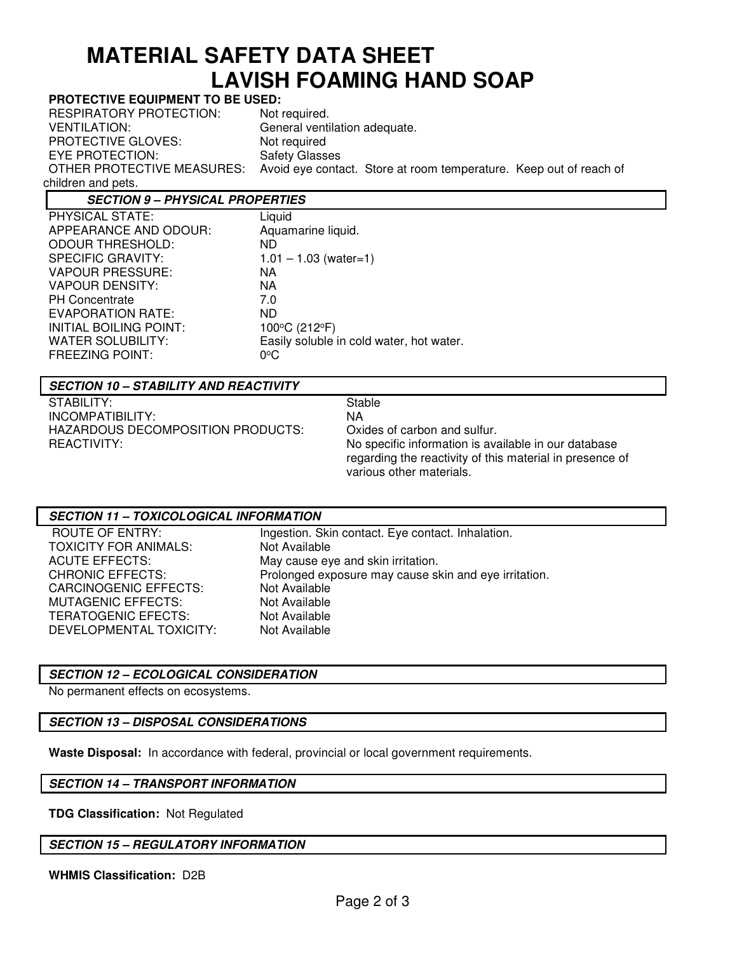# **MATERIAL SAFETY DATA SHEET LAVISH FOAMING HAND SOAP**

## **PROTECTIVE EQUIPMENT TO BE USED:**

RESPIRATORY PROTECTION: Not required. VENTILATION: General ventilation adequate.<br>
PROTECTIVE GLOVES: Not required PROTECTIVE GLOVES: EYE PROTECTION: Safety Glasses OTHER PROTECTIVE MEASURES: Avoid eye contact. Store at room temperature. Keep out of reach of children and pets.

# **SECTION 9 – PHYSICAL PROPERTIES**

| PHYSICAL STATE:          | Liquid                                   |
|--------------------------|------------------------------------------|
| APPEARANCE AND ODOUR:    | Aquamarine liquid.                       |
| <b>ODOUR THRESHOLD:</b>  | ND.                                      |
| <b>SPECIFIC GRAVITY:</b> | $1.01 - 1.03$ (water=1)                  |
| <b>VAPOUR PRESSURE:</b>  | NA.                                      |
| <b>VAPOUR DENSITY:</b>   | NA.                                      |
| <b>PH Concentrate</b>    | 7.0                                      |
| <b>EVAPORATION RATE:</b> | ND.                                      |
| INITIAL BOILING POINT:   | 100°C (212°F)                            |
| <b>WATER SOLUBILITY:</b> | Easily soluble in cold water, hot water. |
| <b>FREEZING POINT:</b>   | $0^{\circ}$ C                            |
|                          |                                          |

# **SECTION 10 – STABILITY AND REACTIVITY**

STABILITY: Stable INCOMPATIBILITY:<br>HAZARDOUS DECOMPOSITION PRODUCTS: Oxides of carbon and sulfur. HAZARDOUS DECOMPOSITION PRODUCTS:

REACTIVITY: No specific information is available in our database regarding the reactivity of this material in presence of various other materials.

#### **SECTION 11 – TOXICOLOGICAL INFORMATION**

| ROUTE OF ENTRY:         | Ingestion. Skin contact. Eye contact. Inhalation.     |
|-------------------------|-------------------------------------------------------|
| TOXICITY FOR ANIMALS:   | Not Available                                         |
| ACUTE EFFECTS:          | May cause eye and skin irritation.                    |
| CHRONIC EFFECTS:        | Prolonged exposure may cause skin and eye irritation. |
| CARCINOGENIC EFFECTS:   | Not Available                                         |
| MUTAGENIC EFFECTS:      | Not Available                                         |
| TERATOGENIC EFECTS:     | Not Available                                         |
| DEVELOPMENTAL TOXICITY: | Not Available                                         |
|                         |                                                       |

## **SECTION 12 – ECOLOGICAL CONSIDERATION**

No permanent effects on ecosystems.

## **SECTION 13 – DISPOSAL CONSIDERATIONS**

**Waste Disposal:** In accordance with federal, provincial or local government requirements.

## **SECTION 14 – TRANSPORT INFORMATION**

**TDG Classification:** Not Regulated

**SECTION 15 – REGULATORY INFORMATION**